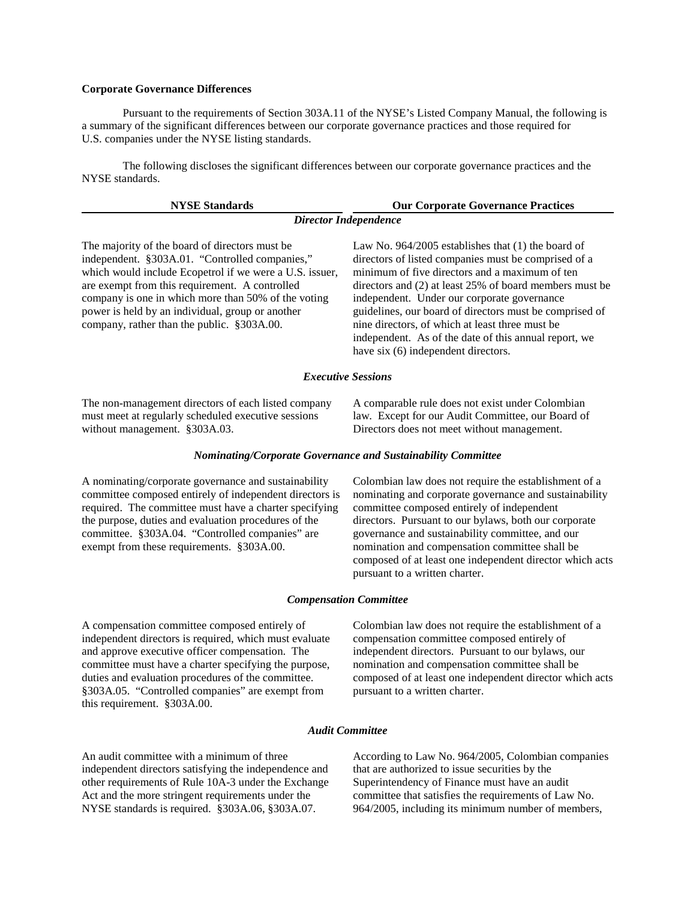## **Corporate Governance Differences**

Pursuant to the requirements of Section 303A.11 of the NYSE's Listed Company Manual, the following is a summary of the significant differences between our corporate governance practices and those required for U.S. companies under the NYSE listing standards.

The following discloses the significant differences between our corporate governance practices and the NYSE standards.

| <b>NYSE Standards</b>                                                                                                                                                                                                                                                                                                                                                   | <b>Our Corporate Governance Practices</b>                                                                                                                                                                                                                                                                                                                                                                                                                                                |
|-------------------------------------------------------------------------------------------------------------------------------------------------------------------------------------------------------------------------------------------------------------------------------------------------------------------------------------------------------------------------|------------------------------------------------------------------------------------------------------------------------------------------------------------------------------------------------------------------------------------------------------------------------------------------------------------------------------------------------------------------------------------------------------------------------------------------------------------------------------------------|
|                                                                                                                                                                                                                                                                                                                                                                         | <b>Director Independence</b>                                                                                                                                                                                                                                                                                                                                                                                                                                                             |
| The majority of the board of directors must be.<br>independent. §303A.01. "Controlled companies,"<br>which would include Ecopetrol if we were a U.S. issuer,<br>are exempt from this requirement. A controlled<br>company is one in which more than 50% of the voting<br>power is held by an individual, group or another<br>company, rather than the public. §303A.00. | Law No. $964/2005$ establishes that (1) the board of<br>directors of listed companies must be comprised of a<br>minimum of five directors and a maximum of ten<br>directors and $(2)$ at least 25% of board members must be<br>independent. Under our corporate governance<br>guidelines, our board of directors must be comprised of<br>nine directors, of which at least three must be<br>independent. As of the date of this annual report, we<br>have six (6) independent directors. |
|                                                                                                                                                                                                                                                                                                                                                                         | <b>Executive Sessions</b>                                                                                                                                                                                                                                                                                                                                                                                                                                                                |
| The non-management directors of each listed company<br>must meet at regularly scheduled executive sessions<br>without management. §303A.03.                                                                                                                                                                                                                             | A comparable rule does not exist under Colombian<br>law. Except for our Audit Committee, our Board of<br>Directors does not meet without management.                                                                                                                                                                                                                                                                                                                                     |

#### *Nominating/Corporate Governance and Sustainability Committee*

A nominating/corporate governance and sustainability committee composed entirely of independent directors is required. The committee must have a charter specifying the purpose, duties and evaluation procedures of the committee. §303A.04. "Controlled companies" are exempt from these requirements. §303A.00.

Colombian law does not require the establishment of a nominating and corporate governance and sustainability committee composed entirely of independent directors. Pursuant to our bylaws, both our corporate governance and sustainability committee, and our nomination and compensation committee shall be composed of at least one independent director which acts pursuant to a written charter.

#### *Compensation Committee*

A compensation committee composed entirely of independent directors is required, which must evaluate and approve executive officer compensation. The committee must have a charter specifying the purpose, duties and evaluation procedures of the committee. §303A.05. "Controlled companies" are exempt from this requirement. §303A.00.

Colombian law does not require the establishment of a compensation committee composed entirely of independent directors. Pursuant to our bylaws, our nomination and compensation committee shall be composed of at least one independent director which acts pursuant to a written charter.

### *Audit Committee*

An audit committee with a minimum of three independent directors satisfying the independence and other requirements of Rule 10A-3 under the Exchange Act and the more stringent requirements under the NYSE standards is required. §303A.06, §303A.07.

According to Law No. 964/2005, Colombian companies that are authorized to issue securities by the Superintendency of Finance must have an audit committee that satisfies the requirements of Law No. 964/2005, including its minimum number of members,